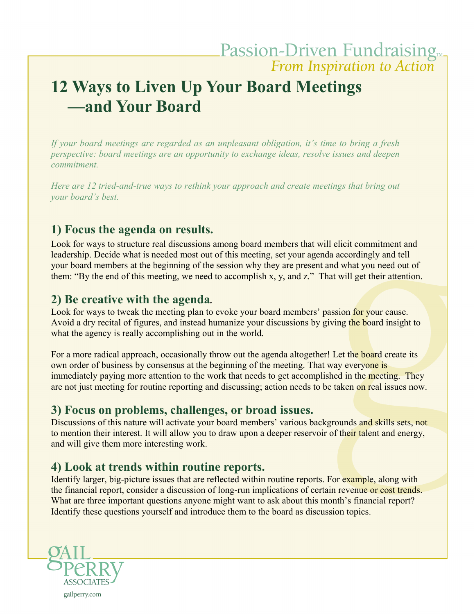# **12 Ways to Liven Up Your Board Meetings —and Your Board**

*If your board meetings are regarded as an unpleasant obligation, it's time to bring a fresh perspective: board meetings are an opportunity to exchange ideas, resolve issues and deepen commitment.*

*Here are 12 tried-and-true ways to rethink your approach and create meetings that bring out your board's best.*

### **1) Focus the agenda on results.**

Look for ways to structure real discussions among board members that will elicit commitment and leadership. Decide what is needed most out of this meeting, set your agenda accordingly and tell your board members at the beginning of the session why they are present and what you need out of them: "By the end of this meeting, we need to accomplish x, y, and z." That will get their attention.

#### **2) Be creative with the agenda***.*

Look for ways to tweak the meeting plan to evoke your board members' passion for your cause. Avoid a dry recital of figures, and instead humanize your discussions by giving the board insight to what the agency is really accomplishing out in the world.

For a more radical approach, occasionally throw out the agenda altogether! Let the board create its own order of business by consensus at the beginning of the meeting. That way everyone is immediately paying more attention to the work that needs to get accomplished in the meeting. They are not just meeting for routine reporting and discussing; action needs to be taken on real issues now.

#### **3) Focus on problems, challenges, or broad issues.**

Discussions of this nature will activate your board members' various backgrounds and skills sets, not to mention their interest. It will allow you to draw upon a deeper reservoir of their talent and energy, and will give them more interesting work.

## **4) Look at trends within routine reports.**

Identify larger, big-picture issues that are reflected within routine reports. For example, along with the financial report, consider a discussion of long-run implications of certain revenue or cost trends. What are three important questions anyone might want to ask about this month's financial report? Identify these questions yourself and introduce them to the board as discussion topics.

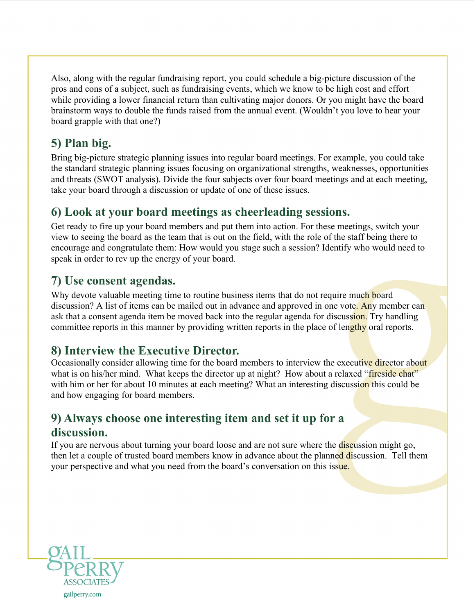Also, along with the regular fundraising report, you could schedule a big-picture discussion of the pros and cons of a subject, such as fundraising events, which we know to be high cost and effort while providing a lower financial return than cultivating major donors. Or you might have the board brainstorm ways to double the funds raised from the annual event. (Wouldn't you love to hear your board grapple with that one?)

## **5) Plan big.**

Bring big-picture strategic planning issues into regular board meetings. For example, you could take the standard strategic planning issues focusing on organizational strengths, weaknesses, opportunities and threats (SWOT analysis). Divide the four subjects over four board meetings and at each meeting, take your board through a discussion or update of one of these issues.

## **6) Look at your board meetings as cheerleading sessions.**

Get ready to fire up your board members and put them into action. For these meetings, switch your view to seeing the board as the team that is out on the field, with the role of the staff being there to encourage and congratulate them: How would you stage such a session? Identify who would need to speak in order to rev up the energy of your board.

## **7) Use consent agendas.**

Why devote valuable meeting time to routine business items that do not require much board discussion? A list of items can be mailed out in advance and approved in one vote. Any member can ask that a consent agenda item be moved back into the regular agenda for discussion. Try handling committee reports in this manner by providing written reports in the place of lengthy oral reports.

## **8) Interview the Executive Director.**

Occasionally consider allowing time for the board members to interview the executive director about what is on his/her mind. What keeps the director up at night? How about a relaxed "fireside chat" with him or her for about 10 minutes at each meeting? What an interesting discussion this could be and how engaging for board members.

## **9) Always choose one interesting item and set it up for a discussion.**

If you are nervous about turning your board loose and are not sure where the discussion might go, then let a couple of trusted board members know in advance about the planned discussion. Tell them your perspective and what you need from the board's conversation on this issue.